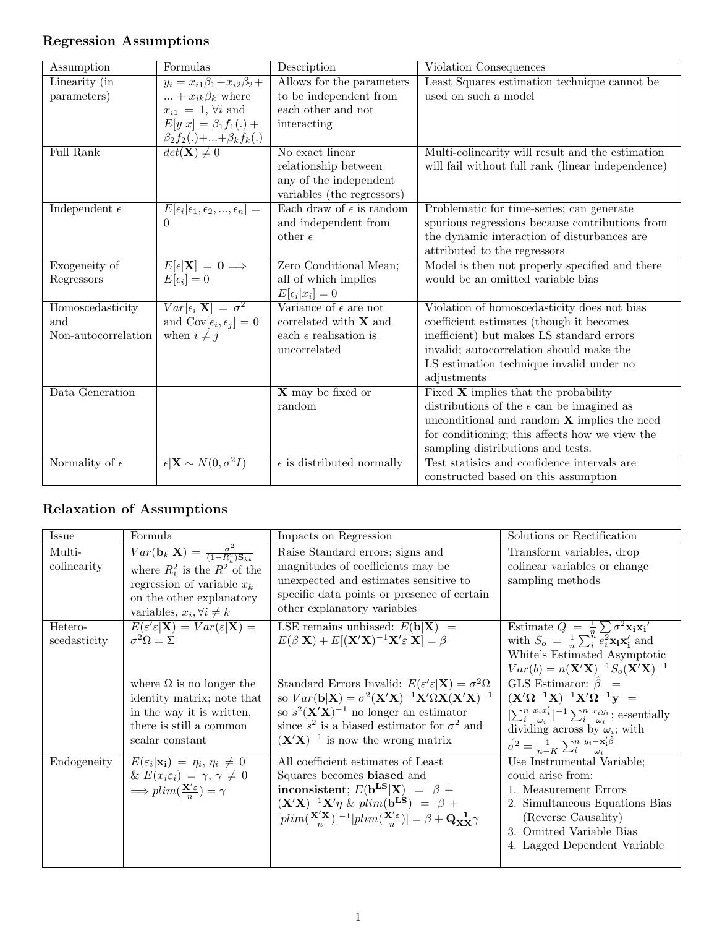# Regression Assumptions

| Assumption              | Formulas                                                            | Description                        | Violation Consequences                             |
|-------------------------|---------------------------------------------------------------------|------------------------------------|----------------------------------------------------|
| Linearity (in           | $y_i = x_{i1}\beta_1 + x_{i2}\beta_2 +$                             | Allows for the parameters          | Least Squares estimation technique cannot be       |
| parameters)             | $\dots + x_{ik}\beta_k$ where                                       | to be independent from             | used on such a model                               |
|                         | $x_{i1}\;=\;1,\,\forall i$ and                                      | each other and not                 |                                                    |
|                         | $E[y x] = \beta_1 f_1(.) +$                                         | interacting                        |                                                    |
|                         | $\frac{\beta_2 f_2(.) +  + \beta_k f_k(.)}{det(\mathbf{X}) \neq 0}$ |                                    |                                                    |
| Full Rank               |                                                                     | No exact linear                    | Multi-colinearity will result and the estimation   |
|                         |                                                                     | relationship between               | will fail without full rank (linear independence)  |
|                         |                                                                     | any of the independent             |                                                    |
|                         |                                                                     | variables (the regressors)         |                                                    |
| Independent $\epsilon$  | $E[\epsilon_i \epsilon_1,\epsilon_2,,\epsilon_n] =$                 | Each draw of $\epsilon$ is random  | Problematic for time-series; can generate          |
|                         | $\Omega$                                                            | and independent from               | spurious regressions because contributions from    |
|                         |                                                                     | other $\epsilon$                   | the dynamic interaction of disturbances are        |
|                         |                                                                     |                                    | attributed to the regressors                       |
| Exogeneity of           | $E[\epsilon {\bf X}]=0 \Longrightarrow$                             | Zero Conditional Mean;             | Model is then not properly specified and there     |
| Regressors              | $E[\epsilon_i]=0$                                                   | all of which implies               | would be an omitted variable bias                  |
|                         |                                                                     | $E[\epsilon_i x_i]=0$              |                                                    |
| Homoscedasticity        | $Var[\epsilon_i \mathbf{X}] = \sigma^2$                             | Variance of $\epsilon$ are not     | Violation of homoscedasticity does not bias        |
| and                     | and $Cov[\epsilon_i, \epsilon_j] = 0$                               | correlated with $X$ and            | coefficient estimates (though it becomes           |
| Non-autocorrelation     | when $i \neq j$                                                     | each $\epsilon$ realisation is     | inefficient) but makes LS standard errors          |
|                         |                                                                     | uncorrelated                       | invalid; autocorrelation should make the           |
|                         |                                                                     |                                    | LS estimation technique invalid under no           |
|                         |                                                                     |                                    | adjustments                                        |
| Data Generation         |                                                                     | $\boldsymbol{X}$ may be fixed or   | Fixed $X$ implies that the probability             |
|                         |                                                                     | random                             | distributions of the $\epsilon$ can be imagined as |
|                         |                                                                     |                                    | unconditional and random $X$ implies the need      |
|                         |                                                                     |                                    | for conditioning; this affects how we view the     |
|                         |                                                                     |                                    | sampling distributions and tests.                  |
| Normality of $\epsilon$ | $\epsilon   \mathbf{X} \sim N(0, \sigma^2 I)$                       | $\epsilon$ is distributed normally | Test statisics and confidence intervals are        |
|                         |                                                                     |                                    | constructed based on this assumption               |

# Relaxation of Assumptions

| Issue                   | Formula                                                                                                                                                                                                           | Impacts on Regression                                                                                                                                                                                                                                                                                                                                                                           | Solutions or Rectification                                                                                                                                                                                                                                                                                     |
|-------------------------|-------------------------------------------------------------------------------------------------------------------------------------------------------------------------------------------------------------------|-------------------------------------------------------------------------------------------------------------------------------------------------------------------------------------------------------------------------------------------------------------------------------------------------------------------------------------------------------------------------------------------------|----------------------------------------------------------------------------------------------------------------------------------------------------------------------------------------------------------------------------------------------------------------------------------------------------------------|
| Multi-<br>colinearity   | $Var(\mathbf{b}_k \mathbf{X}) = \frac{\sigma^2}{(1-R_i^2)\mathbf{S}_{kk}}$<br>where $R_k^2$ is the $R^2$ of the<br>regression of variable $x_k$<br>on the other explanatory<br>variables, $x_i, \forall i \neq k$ | Raise Standard errors; signs and<br>magnitudes of coefficients may be<br>unexpected and estimates sensitive to<br>specific data points or presence of certain<br>other explanatory variables                                                                                                                                                                                                    | Transform variables, drop<br>colinear variables or change<br>sampling methods                                                                                                                                                                                                                                  |
| Hetero-<br>scedasticity | $E(\varepsilon'\varepsilon \mathbf{X})=Var(\varepsilon \mathbf{X})=$<br>$\sigma^2 \Omega = \Sigma$                                                                                                                | LSE remains unbiased: $E(\mathbf{b} \mathbf{X})$ =<br>$E(\beta \mathbf{X}) + E[(\mathbf{X}'\mathbf{X})^{-1}\mathbf{X}'\varepsilon \mathbf{X}] = \beta$                                                                                                                                                                                                                                          | Estimate $Q = \frac{1}{n} \sum \sigma^2 \mathbf{x_i} \mathbf{x_i}'$<br>with $S_o = \frac{1}{n} \sum_{i=1}^{n} e_i^2 \mathbf{x_i} \mathbf{x_i}^{\prime}$ and<br>White's Estimated Asymptotic<br>$Var(b) = n(X'X)^{-1}S_o(X'X)^{-1}$                                                                             |
|                         | where $\Omega$ is no longer the<br>identity matrix; note that<br>in the way it is written,<br>there is still a common<br>scalar constant                                                                          | Standard Errors Invalid: $E(\varepsilon' \varepsilon   \mathbf{X}) = \sigma^2 \Omega$<br>so $Var(\mathbf{b} \mathbf{X}) = \sigma^2(\mathbf{X}'\mathbf{X})^{-1}\mathbf{X}'\Omega\mathbf{X}(\mathbf{X}'\mathbf{X})^{-1}$<br>so $s^2$ (X'X) <sup>-1</sup> no longer an estimator<br>since $s^2$ is a biased estimator for $\sigma^2$ and<br>$(\mathbf{X}'\mathbf{X})^{-1}$ is now the wrong matrix | GLS Estimator: $\hat{\beta}$ =<br>$(X'\Omega^{-1}X)^{-1}X'\Omega^{-1}y =$<br>$[\sum_{i}^{n} \frac{x_i x_i'}{a_i}]^{-1} \sum_{i}^{n} \frac{x_i y_i}{\omega_i};$ essentially<br>dividing across by $\omega_i$ ; with<br>$\hat{\sigma^2} = \frac{1}{n-K} \sum_{i}^{n} \frac{y_i - \mathbf{x}_i' \beta}{\omega_i}$ |
| Endogeneity             | $E(\varepsilon_i \mathbf{x_i}) = \eta_i, \eta_i \neq 0$<br>& $E(x_i \varepsilon_i) = \gamma, \gamma \neq 0$<br>$\implies \text{plim}(\frac{\mathbf{X}'\varepsilon}{n}) = \gamma$                                  | All coefficient estimates of Least<br>Squares becomes biased and<br>inconsistent; $E(b^{LS} X) = \beta +$<br>$(\mathbf{X}'\mathbf{X})^{-1}\mathbf{X}'\eta \&\plim(\mathbf{b}^{\mathbf{LS}}) = \beta +$<br>$[plim(\frac{\mathbf{X}'\mathbf{X}}{n})]^{-1}[plim(\frac{\mathbf{X}'\varepsilon}{n})]=\beta+\mathbf{Q}_{\mathbf{X}\mathbf{X}}^{-1}\gamma$                                             | Use Instrumental Variable;<br>could arise from:<br>1. Measurement Errors<br>2. Simultaneous Equations Bias<br>(Reverse Causality)<br>3. Omitted Variable Bias<br>4. Lagged Dependent Variable                                                                                                                  |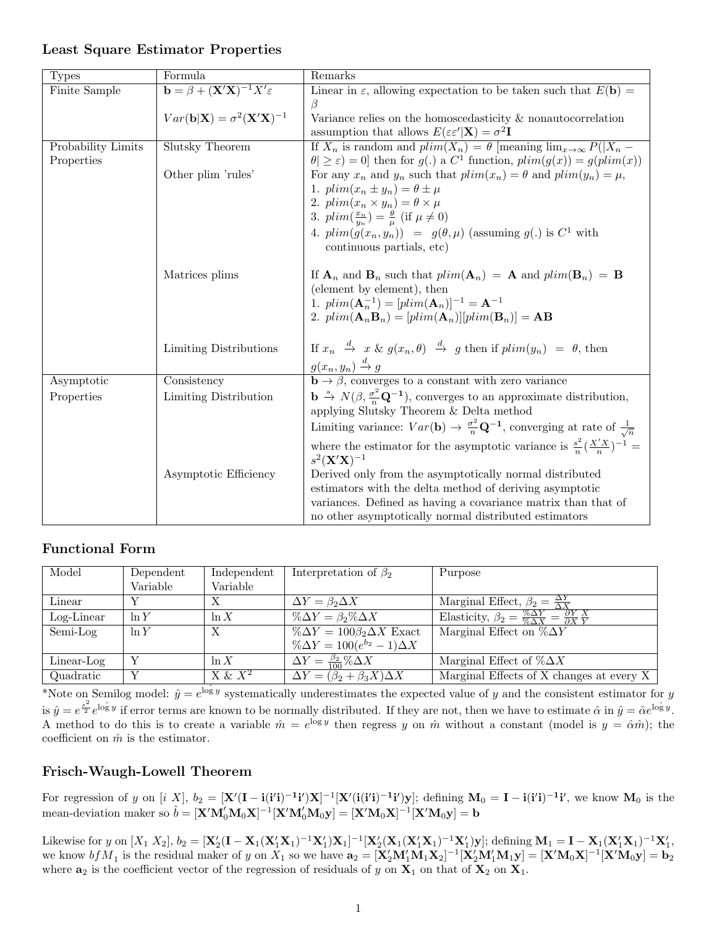| Formula<br>Remarks<br><b>Types</b>                                                                                                                                             |  |
|--------------------------------------------------------------------------------------------------------------------------------------------------------------------------------|--|
| $\mathbf{b} = \beta + (\mathbf{X}'\mathbf{X})^{-1}X'\varepsilon$<br>Linear in $\varepsilon$ , allowing expectation to be taken such that $E(\mathbf{b}) =$<br>Finite Sample    |  |
| ß                                                                                                                                                                              |  |
| $Var(\mathbf{b} \mathbf{X}) = \sigma^2(\mathbf{X}'\mathbf{X})^{-1}$<br>Variance relies on the homoscedasticity $\&$ nonautocorrelation                                         |  |
| assumption that allows $E(\varepsilon \varepsilon'   \mathbf{X}) = \sigma^2 \mathbf{I}$                                                                                        |  |
| If $X_n$ is random and $plim(X_n) = \theta$ [meaning $\lim_{x\to\infty} P( X_n -$<br>Slutsky Theorem<br>Probability Limits                                                     |  |
| $ \theta  \geq \varepsilon$ = 0] then for $g(.)$ a $C^1$ function, $plim(g(x)) = g(plim(x))$<br>Properties                                                                     |  |
| For any $x_n$ and $y_n$ such that $plim(x_n) = \theta$ and $plim(y_n) = \mu$ ,<br>Other plim 'rules'                                                                           |  |
| 1. $plim(x_n \pm y_n) = \theta \pm \mu$                                                                                                                                        |  |
| 2. $plim(x_n \times y_n) = \theta \times \mu$                                                                                                                                  |  |
| 3. $plim(\frac{x_n}{u_n}) = \frac{\theta}{\mu}$ (if $\mu \neq 0$ )                                                                                                             |  |
| 4. $plim(g(x_n, y_n)) = g(\theta, \mu)$ (assuming $g(.)$ is $C^1$ with                                                                                                         |  |
| continuous partials, etc)                                                                                                                                                      |  |
|                                                                                                                                                                                |  |
| If $\mathbf{A}_n$ and $\mathbf{B}_n$ such that $plim(\mathbf{A}_n) = \mathbf{A}$ and $plim(\mathbf{B}_n) = \mathbf{B}$<br>Matrices plims                                       |  |
| (element by element), then                                                                                                                                                     |  |
| 1. $plim(\mathbf{A}_n^{-1}) = [plim(\mathbf{A}_n)]^{-1} = \mathbf{A}^{-1}$                                                                                                     |  |
| 2. $plim(\mathbf{A}_n\mathbf{B}_n) = [plim(\mathbf{A}_n)][plim(\mathbf{B}_n)] = \mathbf{AB}$                                                                                   |  |
|                                                                                                                                                                                |  |
| If $x_n \stackrel{d}{\rightarrow} x \& g(x_n, \theta) \stackrel{d}{\rightarrow} g$ then if $plim(y_n) = \theta$ , then<br>Limiting Distributions                               |  |
|                                                                                                                                                                                |  |
| $g(x_n, y_n) \stackrel{d}{\rightarrow} g$<br><b>b</b> $\rightarrow \beta$ , converges to a constant with zero variance                                                         |  |
| Consistency<br>Asymptotic                                                                                                                                                      |  |
| $\mathbf{b} \stackrel{\mathbf{a}}{\rightarrow} N(\beta, \frac{\sigma^2}{n} \mathbf{Q}^{-1}),$ converges to an approximate distribution,<br>Limiting Distribution<br>Properties |  |
| applying Slutsky Theorem & Delta method                                                                                                                                        |  |
| Limiting variance: $Var(\mathbf{b}) \rightarrow \frac{\sigma^2}{n} \mathbf{Q}^{-1}$ , converging at rate of $\frac{1}{\sqrt{n}}$                                               |  |
| where the estimator for the asymptotic variance is $\frac{s^2}{n}(\frac{X'X}{n})^{-1}$ =                                                                                       |  |
| $s^2(X'X)^{-1}$                                                                                                                                                                |  |
| Asymptotic Efficiency<br>Derived only from the asymptotically normal distributed                                                                                               |  |
| estimators with the delta method of deriving asymptotic                                                                                                                        |  |
| variances. Defined as having a covariance matrix than that of                                                                                                                  |  |
| no other asymptotically normal distributed estimators                                                                                                                          |  |

#### Least Square Estimator Properties

### Functional Form

| Model         | Dependent | Independent | Interpretation of $\beta_2$                  | Purpose                                                                                                        |
|---------------|-----------|-------------|----------------------------------------------|----------------------------------------------------------------------------------------------------------------|
|               | Variable  | Variable    |                                              |                                                                                                                |
| Linear        |           | Х           | $\Delta Y = \beta_2 \Delta X$                | Marginal Effect, $\beta_2 = \frac{\Delta Y}{\Delta Y}$                                                         |
| $Log$ -Linear | ln Y      | ln X        | $\% \Delta Y = \beta_2 \% \Delta X$          | Elasticity, $\overline{\beta_2} = \frac{\% \Delta Y}{\% \Delta X} = \frac{\partial Y}{\partial X} \frac{X}{Y}$ |
| Semi-Log      | ln Y      | Х           | $\%\Delta Y = 100\beta_2\Delta X$ Exact      | Marginal Effect on $\%\Delta Y$                                                                                |
|               |           |             | $\% \Delta Y = 100(e^{b_2} - 1)\Delta X$     |                                                                                                                |
| Linear-Log    |           | ln X        | $\Delta Y = \frac{\beta_2}{100} \% \Delta X$ | Marginal Effect of $\% \Delta X$                                                                               |
| Quadratic     |           | $X \& X^2$  | $\Delta Y = (\beta_2 + \beta_3 X) \Delta X$  | Marginal Effects of X changes at every X                                                                       |

\*Note on Semilog model:  $\hat{y} = e^{\log y}$  systematically underestimates the expected value of y and the consistent estimator for y is  $\hat{y} = e^{\frac{s^2}{2}} e^{\log y}$  if error terms are known to be normally distributed. If they are not, then we have to estimate  $\hat{\alpha}$  in  $\hat{y} = \hat{\alpha}e^{\log y}$ . A method to do this is to create a variable  $\hat{m} = e^{\log y}$  then regress y on  $\hat{m}$  without a constant (model is  $y = \hat{\alpha}\hat{m}$ ); the coefficient on  $\hat{m}$  is the estimator.

### Frisch-Waugh-Lowell Theorem

For regression of y on  $[i \ X]$ ,  $b_2 = [\mathbf{X}'(\mathbf{I} - \mathbf{i}(\mathbf{i}'\mathbf{i})^{-1}\mathbf{i}')\mathbf{X}]^{-1}[\mathbf{X}'(\mathbf{i}(\mathbf{i}'\mathbf{i})^{-1}\mathbf{i}')\mathbf{y}]$ ; defining  $\mathbf{M}_0 = \mathbf{I} - \mathbf{i}(\mathbf{i}'\mathbf{i})^{-1}\mathbf{i}'$ , we know  $\mathbf{M}_0$  is the mean-deviation maker so  $\hat{b} = [\mathbf{X}'\mathbf{M}'_0\mathbf{M}_0\mathbf{X}]^{-1}[\mathbf{X}'\mathbf{M}'_0\mathbf{M}_0\mathbf{y}] = [\mathbf{X}'\mathbf{M}_0\mathbf{X}]^{-1}[\mathbf{X}'\mathbf{M}_0\mathbf{y}] = \mathbf{b}$ 

Likewise for y on  $[X_1\ X_2], b_2 = [\mathbf{X}_2'(\mathbf{I}-\mathbf{X}_1(\mathbf{X}_1'\mathbf{X}_1)^{-1}\mathbf{X}_1']\mathbf{X}_1]^{-1}[\mathbf{X}_2'(\mathbf{X}_1(\mathbf{X}_1'\mathbf{X}_1)^{-1}\mathbf{X}_1')\mathbf{y}];$  defining  $\mathbf{M}_1 = \mathbf{I} - \mathbf{X}_1(\mathbf{X}_1'\mathbf{X}_1)^{-1}\mathbf{X}_1',$ we know  $bf_1$  is the residual maker of y on  $X_1$  so we have  $\mathbf{a}_2 = [\mathbf{X}_2'\mathbf{M}_1'\mathbf{M}_1\mathbf{X}_2]^{-1} [\mathbf{X}_2'\mathbf{M}_1'\mathbf{M}_1\mathbf{y}] = [\mathbf{X}'\mathbf{M}_0\mathbf{X}]^{-1} [\mathbf{X}'\mathbf{M}_0\mathbf{y}] = \mathbf{b}_2$ where  $a_2$  is the coefficient vector of the regression of residuals of y on  $X_1$  on that of  $X_2$  on  $X_1$ .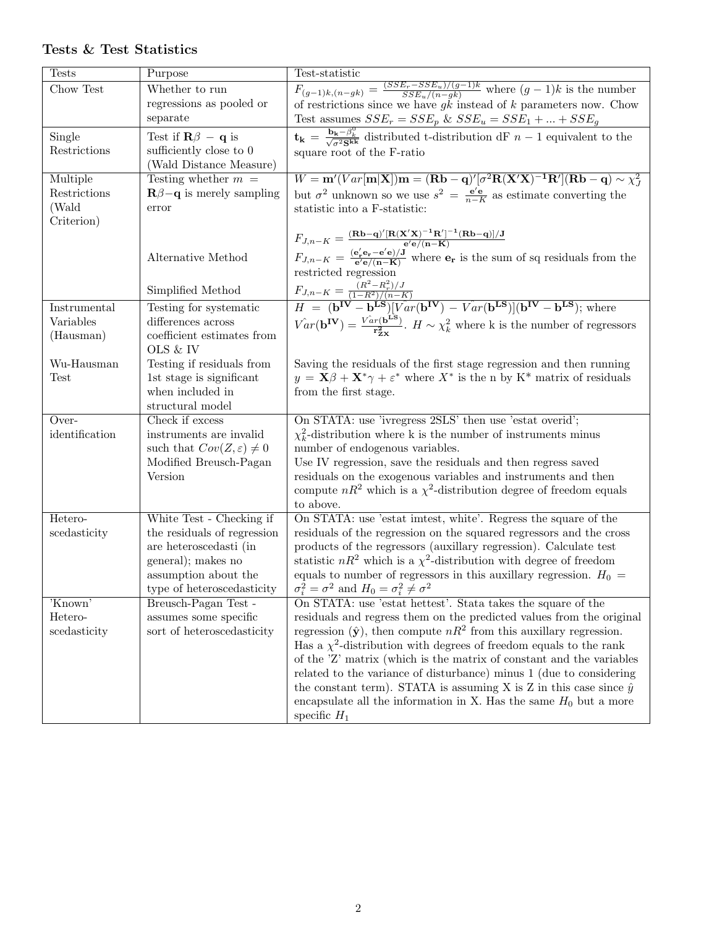| $F_{(g-1)k,(n-gk)} = \frac{(SSE_r - SSE_u)/(g-1)k}{SSE_u/(n-gk)}$ where $(g-1)k$ is the number<br>of restrictions since we have gk instead of k parameters now. Chow<br>Chow Test<br>Whether to run<br>regressions as pooled or<br>separate<br>Test assumes $SSE_r = SSE_p$ & $SSE_u = SSE_1 +  + SSE_g$<br>$\overline{\mathbf{t_k}} = \frac{\mathbf{b_k} - \beta_k^0}{\sqrt{\sigma^2 \mathbf{S}^{kk}}}$ distributed t-distribution dF $n-1$ equivalent to the<br>Single<br>Test if $\mathbf{R}\beta - \mathbf{q}$ is |
|-----------------------------------------------------------------------------------------------------------------------------------------------------------------------------------------------------------------------------------------------------------------------------------------------------------------------------------------------------------------------------------------------------------------------------------------------------------------------------------------------------------------------|
|                                                                                                                                                                                                                                                                                                                                                                                                                                                                                                                       |
|                                                                                                                                                                                                                                                                                                                                                                                                                                                                                                                       |
|                                                                                                                                                                                                                                                                                                                                                                                                                                                                                                                       |
|                                                                                                                                                                                                                                                                                                                                                                                                                                                                                                                       |
| Restrictions<br>sufficiently close to 0<br>square root of the F-ratio                                                                                                                                                                                                                                                                                                                                                                                                                                                 |
| (Wald Distance Measure)                                                                                                                                                                                                                                                                                                                                                                                                                                                                                               |
| $W = \mathbf{m}'(Var[\mathbf{m} \mathbf{X}])\mathbf{m} = (\mathbf{R}\mathbf{b} - \mathbf{q})'[\sigma^2 \mathbf{R}(\mathbf{X}'\mathbf{X})^{-1}\mathbf{R}'](\mathbf{R}\mathbf{b} - \mathbf{q}) \sim \chi^2$<br>Multiple<br>Testing whether $m =$                                                                                                                                                                                                                                                                        |
| but $\sigma^2$ unknown so we use $s^2 = \frac{e^{\prime}e}{n-K}$ as estimate converting the<br>Restrictions<br>$\mathbf{R}\beta - \mathbf{q}$ is merely sampling                                                                                                                                                                                                                                                                                                                                                      |
| (Wald<br>error<br>statistic into a F-statistic:                                                                                                                                                                                                                                                                                                                                                                                                                                                                       |
| Criterion)                                                                                                                                                                                                                                                                                                                                                                                                                                                                                                            |
| $F_{J,n-K} = \frac{(\mathbf{R}\mathbf{b}-\mathbf{q})'[\mathbf{R}(\mathbf{X}'\mathbf{X})^{-1}\mathbf{R}']^{-1}(\mathbf{R}\mathbf{b}-\mathbf{q})]/\mathbf{J}}{e'\mathbf{e}/(\mathbf{n}-\mathbf{K})}$                                                                                                                                                                                                                                                                                                                    |
| $F_{J,n-K} = \frac{(\mathbf{e}_{\mathbf{r}}' \mathbf{e}_{\mathbf{r}} - \mathbf{e}' \mathbf{e})/J}{\mathbf{e}'\mathbf{e}/(n-K)}$ where $\mathbf{e}_{\mathbf{r}}$ is the sum of sq residuals from the<br>Alternative Method                                                                                                                                                                                                                                                                                             |
| restricted regression                                                                                                                                                                                                                                                                                                                                                                                                                                                                                                 |
| Simplified Method                                                                                                                                                                                                                                                                                                                                                                                                                                                                                                     |
| $\begin{array}{l} \displaystyle F_{J,n-K} = \frac{\stackrel{\sim}{(R^2-R^2_r)/J}}{(1-R^2)/(n-K)}\\ \displaystyle H~=~({\bf b^{IV}}-{\bf b^{LS}})[\stackrel{\sim}{Var}({\bf b^{IV}})~-~\stackrel{\sim}{Var}({\bf b^{LS}})]({\bf b^{IV}}-{\bf b^{LS}}); \,\text{where} \end{array}$<br>Instrumental<br>Testing for systematic                                                                                                                                                                                           |
| differences across<br>Variables                                                                                                                                                                                                                                                                                                                                                                                                                                                                                       |
| $\hat{Var}(\mathbf{b}^{\mathbf{IV}}) = \frac{\hat{Var}(\mathbf{b}^{\mathbf{LS}})}{\mathbf{r}_{\text{av}}^2}$ . $H \sim \chi^2_k$ where k is the number of regressors<br>coefficient estimates from<br>(Hausman)                                                                                                                                                                                                                                                                                                       |
| OLS & IV                                                                                                                                                                                                                                                                                                                                                                                                                                                                                                              |
| Wu-Hausman<br>Testing if residuals from<br>Saving the residuals of the first stage regression and then running                                                                                                                                                                                                                                                                                                                                                                                                        |
| $y = \mathbf{X}\beta + \mathbf{X}^*\gamma + \varepsilon^*$ where $X^*$ is the n by $K^*$ matrix of residuals<br>1st stage is significant<br><b>Test</b>                                                                                                                                                                                                                                                                                                                                                               |
| when included in<br>from the first stage.                                                                                                                                                                                                                                                                                                                                                                                                                                                                             |
| structural model                                                                                                                                                                                                                                                                                                                                                                                                                                                                                                      |
| On STATA: use 'ivregress 2SLS' then use 'estat overid';<br>Over-<br>Check if excess                                                                                                                                                                                                                                                                                                                                                                                                                                   |
| $\chi^2_k$ -distribution where k is the number of instruments minus<br>identification<br>instruments are invalid                                                                                                                                                                                                                                                                                                                                                                                                      |
| such that $Cov(Z, \varepsilon) \neq 0$<br>number of endogenous variables.                                                                                                                                                                                                                                                                                                                                                                                                                                             |
| Modified Breusch-Pagan<br>Use IV regression, save the residuals and then regress saved                                                                                                                                                                                                                                                                                                                                                                                                                                |
| residuals on the exogenous variables and instruments and then<br>Version<br>compute $nR^2$ which is a $\chi^2$ -distribution degree of freedom equals                                                                                                                                                                                                                                                                                                                                                                 |
| to above.                                                                                                                                                                                                                                                                                                                                                                                                                                                                                                             |
| Hetero-<br>White Test - Checking if<br>On STATA: use 'estat imtest, white'. Regress the square of the                                                                                                                                                                                                                                                                                                                                                                                                                 |
| residuals of the regression on the squared regressors and the cross<br>scedasticity<br>the residuals of regression                                                                                                                                                                                                                                                                                                                                                                                                    |
| are heteroscedasti (in<br>products of the regressors (auxillary regression). Calculate test                                                                                                                                                                                                                                                                                                                                                                                                                           |
| statistic $nR^2$ which is a $\chi^2$ -distribution with degree of freedom<br>general); makes no                                                                                                                                                                                                                                                                                                                                                                                                                       |
| assumption about the<br>equals to number of regressors in this auxillary regression. $H_0 =$                                                                                                                                                                                                                                                                                                                                                                                                                          |
| $\sigma_i^2 = \sigma^2$ and $H_0 = \sigma_i^2 \neq \sigma^2$<br>type of heteroscedasticity                                                                                                                                                                                                                                                                                                                                                                                                                            |
| 'Known'<br>On STATA: use 'estat hettest'. Stata takes the square of the<br>Breusch-Pagan Test -                                                                                                                                                                                                                                                                                                                                                                                                                       |
| Hetero-<br>assumes some specific<br>residuals and regress them on the predicted values from the original                                                                                                                                                                                                                                                                                                                                                                                                              |
| regression $(\hat{\mathbf{y}})$ , then compute $nR^2$ from this auxillary regression.<br>scedasticity<br>sort of heteroscedasticity                                                                                                                                                                                                                                                                                                                                                                                   |
| Has a $\chi^2$ -distribution with degrees of freedom equals to the rank                                                                                                                                                                                                                                                                                                                                                                                                                                               |
| of the 'Z' matrix (which is the matrix of constant and the variables                                                                                                                                                                                                                                                                                                                                                                                                                                                  |
| related to the variance of disturbance) minus 1 (due to considering<br>the constant term). STATA is assuming X is Z in this case since $\hat{y}$                                                                                                                                                                                                                                                                                                                                                                      |
| encapsulate all the information in X. Has the same $H_0$ but a more                                                                                                                                                                                                                                                                                                                                                                                                                                                   |
| specific $H_1$                                                                                                                                                                                                                                                                                                                                                                                                                                                                                                        |

### Tests & Test Statistics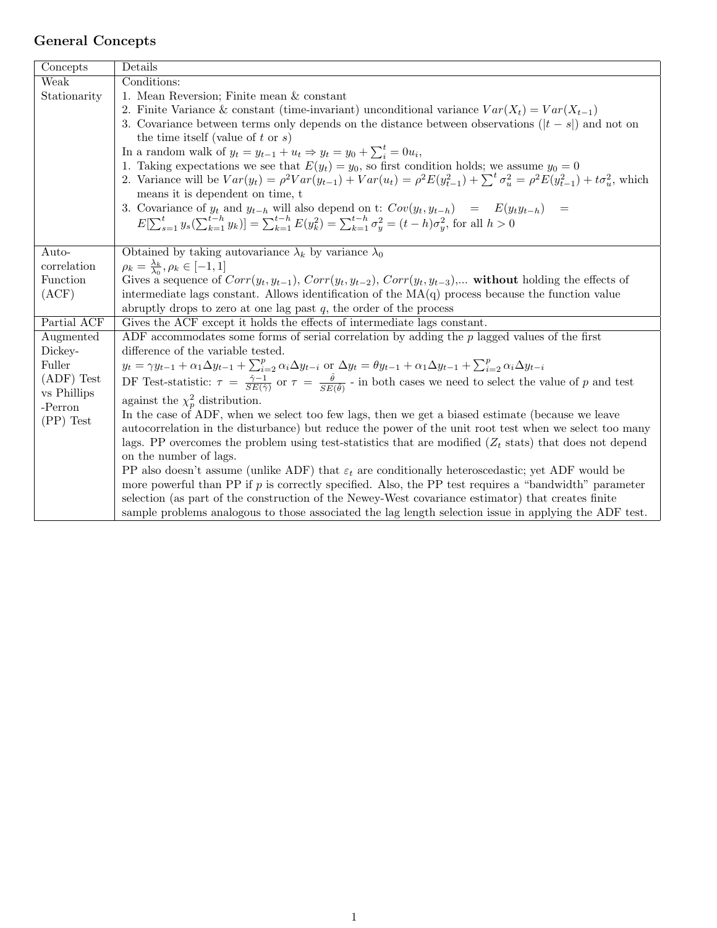# General Concepts

| Concepts               | Details                                                                                                                                                                                   |
|------------------------|-------------------------------------------------------------------------------------------------------------------------------------------------------------------------------------------|
| Weak                   | Conditions:                                                                                                                                                                               |
| Stationarity           | 1. Mean Reversion; Finite mean & constant                                                                                                                                                 |
|                        | 2. Finite Variance & constant (time-invariant) unconditional variance $Var(X_t) = Var(X_{t-1})$                                                                                           |
|                        | 3. Covariance between terms only depends on the distance between observations ( $ t - s $ ) and not on                                                                                    |
|                        | the time itself (value of t or $s$ )                                                                                                                                                      |
|                        | In a random walk of $y_t = y_{t-1} + u_t \Rightarrow y_t = y_0 + \sum_i^t = 0u_i$ ,                                                                                                       |
|                        | 1. Taking expectations we see that $E(y_t) = y_0$ , so first condition holds; we assume $y_0 = 0$                                                                                         |
|                        | 2. Variance will be $Var(y_t) = \rho^2 Var(y_{t-1}) + Var(u_t) = \rho^2 E(y_{t-1}^2) + \sum^t \sigma_u^2 = \rho^2 E(y_{t-1}^2) + t\sigma_u^2$ , which                                     |
|                        | means it is dependent on time, t                                                                                                                                                          |
|                        | 3. Covariance of $y_t$ and $y_{t-h}$ will also depend on t: $Cov(y_t, y_{t-h}) = E(y_t y_{t-h}) =$                                                                                        |
|                        | $E[\sum_{s=1}^t y_s(\sum_{k=1}^{t-h} y_k)] = \sum_{k=1}^{t-h} E(y_k^2) = \sum_{k=1}^{t-h} \sigma_y^2 = (t-h)\sigma_y^2$ , for all $h > 0$                                                 |
|                        |                                                                                                                                                                                           |
| Auto-                  | Obtained by taking autovariance $\lambda_k$ by variance $\lambda_0$                                                                                                                       |
| correlation            | $\rho_k = \frac{\lambda_k}{\lambda_0}, \rho_k \in [-1, 1]$                                                                                                                                |
| Function               | Gives a sequence of $Corr(y_t, y_{t-1}), Corr(y_t, y_{t-2}), Corr(y_t, y_{t-3}),$ without holding the effects of                                                                          |
| (ACF)                  | intermediate lags constant. Allows identification of the $MA(q)$ process because the function value                                                                                       |
|                        | abruptly drops to zero at one lag past $q$ , the order of the process                                                                                                                     |
| Partial ACF            | Gives the ACF except it holds the effects of intermediate lags constant.                                                                                                                  |
| Augmented              | ADF accommodates some forms of serial correlation by adding the $p$ lagged values of the first                                                                                            |
| Dickey-                | difference of the variable tested.                                                                                                                                                        |
| Fuller                 | $y_t = \gamma y_{t-1} + \alpha_1 \Delta y_{t-1} + \sum_{i=2}^p \alpha_i \Delta y_{t-i}$ or $\Delta y_t = \theta y_{t-1} + \alpha_1 \Delta y_{t-1} + \sum_{i=2}^p \alpha_i \Delta y_{t-i}$ |
| $(ADF)$ Test           | DF Test-statistic: $\tau = \frac{\hat{\gamma}-1}{SE(\hat{\gamma})}$ or $\tau = \frac{\hat{\theta}}{SE(\hat{\theta})}$ - in both cases we need to select the value of p and test           |
| vs Phillips<br>-Perron | against the $\chi_p^2$ distribution.                                                                                                                                                      |
| $(PP)$ Test            | In the case of ADF, when we select too few lags, then we get a biased estimate (because we leave                                                                                          |
|                        | autocorrelation in the disturbance) but reduce the power of the unit root test when we select too many                                                                                    |
|                        | lags. PP overcomes the problem using test-statistics that are modified $(Z_t$ stats) that does not depend                                                                                 |
|                        | on the number of lags.                                                                                                                                                                    |
|                        | PP also doesn't assume (unlike ADF) that $\varepsilon_t$ are conditionally heteroscedustic; yet ADF would be                                                                              |
|                        | more powerful than PP if $p$ is correctly specified. Also, the PP test requires a "bandwidth" parameter                                                                                   |
|                        | selection (as part of the construction of the Newey-West covariance estimator) that creates finite                                                                                        |
|                        | sample problems analogous to those associated the lag length selection issue in applying the ADF test.                                                                                    |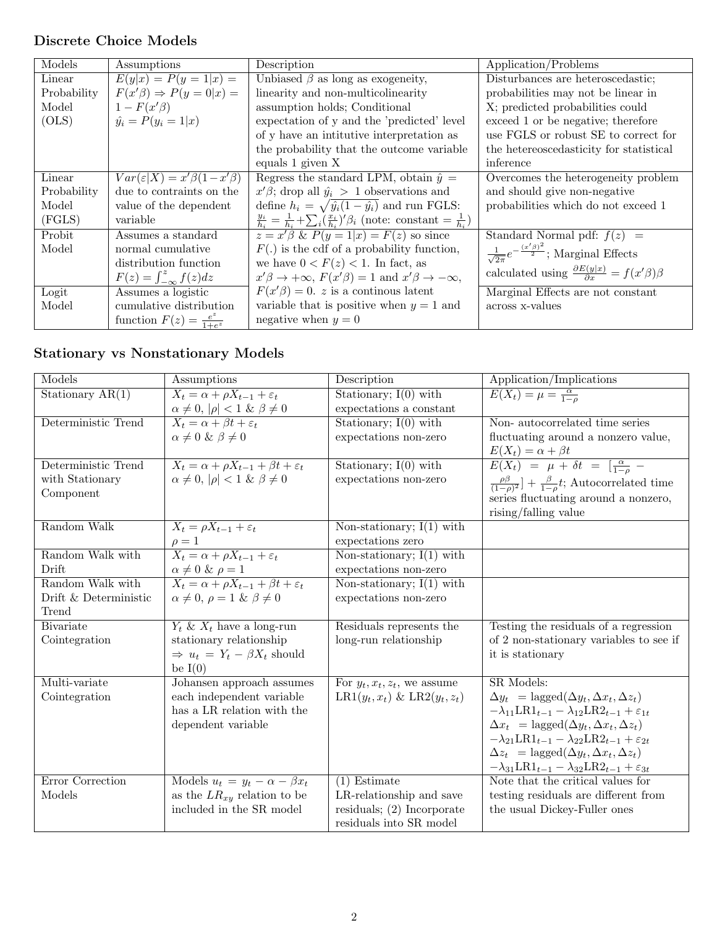## Discrete Choice Models

| Models      | Assumptions                               | Description                                                                                               | Application/Problems                                                    |
|-------------|-------------------------------------------|-----------------------------------------------------------------------------------------------------------|-------------------------------------------------------------------------|
| Linear      | $E(y x) = P(y = 1 x) =$                   | Unbiased $\beta$ as long as exogeneity,                                                                   | Disturbances are heteroscedastic;                                       |
| Probability | $F(x'\beta) \Rightarrow P(y=0 x) =$       | linearity and non-multicolinearity                                                                        | probabilities may not be linear in                                      |
| Model       | $1-F(x'\beta)$                            | assumption holds; Conditional                                                                             | X; predicted probabilities could                                        |
| (OLS)       | $\hat{y}_i = P(y_i = 1 x)$                | expectation of y and the 'predicted' level                                                                | exceed 1 or be negative; therefore                                      |
|             |                                           | of y have an intitutive interpretation as                                                                 | use FGLS or robust SE to correct for                                    |
|             |                                           | the probability that the outcome variable                                                                 | the hetereoscedasticity for statistical                                 |
|             |                                           | equals 1 given X                                                                                          | inference                                                               |
| Linear      | $Var(\varepsilon X) = x'\beta(1-x'\beta)$ | Regress the standard LPM, obtain $\hat{y} =$                                                              | Overcomes the heterogeneity problem                                     |
| Probability | due to contraints on the                  | $x'\beta$ ; drop all $\hat{y}_i > 1$ observations and                                                     | and should give non-negative                                            |
| Model       | value of the dependent                    | define $h_i = \sqrt{\hat{y}_i(1-\hat{y}_i)}$ and run FGLS:                                                | probabilities which do not exceed 1                                     |
| (FGLS)      | variable                                  | $\frac{y_i}{h_i} = \frac{1}{h_i} + \sum_i (\frac{x_i}{h_i})' \beta_i$ (note: constant = $\frac{1}{h_i}$ ) |                                                                         |
| Probit      | Assumes a standard                        | $z = x'\beta$ & $P(y = 1 x) = F(z)$ so since                                                              | Standard Normal pdf: $f(z)$ =                                           |
| Model       | normal cumulative                         | $F(.)$ is the cdf of a probability function,                                                              | $\frac{1}{\sqrt{2\pi}}e^{-\frac{(x'\beta)^2}{2}}$ ; Marginal Effects    |
|             | distribution function                     | we have $0 < F(z) < 1$ . In fact, as                                                                      |                                                                         |
|             | $F(z) = \int_{-\infty}^{z} f(z) dz$       | $x'\beta \rightarrow +\infty$ , $F(x'\beta) = 1$ and $x'\beta \rightarrow -\infty$ ,                      | calculated using $\frac{\partial E(y x)}{\partial x} = f(x'\beta)\beta$ |
| Logit       | Assumes a logistic                        | $F(x'\beta) = 0$ . z is a continuous latent                                                               | Marginal Effects are not constant                                       |
| Model       | cumulative distribution                   | variable that is positive when $y = 1$ and                                                                | across x-values                                                         |
|             | function $F(z) = \frac{e^z}{1+e^z}$       | negative when $y=0$                                                                                       |                                                                         |

## Stationary vs Nonstationary Models

| Models                | Assumptions                                                         | Description                      | Application/Implications                                                       |
|-----------------------|---------------------------------------------------------------------|----------------------------------|--------------------------------------------------------------------------------|
| Stationary $AR(1)$    | $X_t = \alpha + \rho X_{t-1} + \varepsilon_t$                       | Stationary; $I(0)$ with          | $E(X_t) = \mu = \frac{\alpha}{1 - \alpha}$                                     |
|                       | $\alpha \neq 0,  \rho  < 1 \& \beta \neq 0$                         | expectations a constant          |                                                                                |
| Deterministic Trend   | $X_t = \alpha + \beta t + \varepsilon_t$                            | Stationary; $I(0)$ with          | Non-autocorrelated time series                                                 |
|                       | $\alpha \neq 0 \& \beta \neq 0$                                     | expectations non-zero            | fluctuating around a nonzero value,                                            |
|                       |                                                                     |                                  | $E(X_t) = \alpha + \beta t$                                                    |
| Deterministic Trend   | $X_t = \alpha + \rho X_{t-1} + \beta t + \varepsilon_t$             | Stationary; $I(0)$ with          | $E(X_t) = \mu + \delta t = \left[\frac{\alpha}{1-\rho}\right]$                 |
| with Stationary       | $\alpha \neq 0,  \rho  < 1 \& \beta \neq 0$                         | expectations non-zero            | $\frac{\rho\beta}{(1-\rho)^2}$ + $\frac{\beta}{1-\rho}t$ ; Autocorrelated time |
| Component             |                                                                     |                                  | series fluctuating around a nonzero,                                           |
|                       |                                                                     |                                  | rising/falling value                                                           |
| Random Walk           | $X_t = \rho X_{t-1} + \varepsilon_t$                                | Non-stationary; $I(1)$ with      |                                                                                |
|                       | $\rho = 1$                                                          | expectations zero                |                                                                                |
| Random Walk with      | $\overline{X_t} = \alpha + \rho \overline{X_{t-1} + \varepsilon_t}$ | Non-stationary; $I(1)$ with      |                                                                                |
| Drift                 | $\alpha \neq 0 \& \rho = 1$                                         | expectations non-zero            |                                                                                |
| Random Walk with      | $X_t = \alpha + \rho X_{t-1} + \beta t + \varepsilon_t$             | Non-stationary; $I(1)$ with      |                                                                                |
| Drift & Deterministic | $\alpha \neq 0, \ \rho = 1 \ \& \ \beta \neq 0$                     | expectations non-zero            |                                                                                |
| Trend                 |                                                                     |                                  |                                                                                |
| <b>B</b> ivariate     | $Y_t \& X_t$ have a long-run                                        | Residuals represents the         | Testing the residuals of a regression                                          |
| Cointegration         | stationary relationship                                             | long-run relationship            | of 2 non-stationary variables to see if                                        |
|                       | $\Rightarrow u_t = Y_t - \beta X_t$ should                          |                                  | it is stationary                                                               |
|                       | be $I(0)$                                                           |                                  |                                                                                |
| Multi-variate         | Johansen approach assumes                                           | For $y_t, x_t, z_t$ , we assume  | SR Models:                                                                     |
| Cointegration         | each independent variable                                           | $LR1(y_t, x_t) \& LR2(y_t, z_t)$ | $\Delta y_t = \text{lagged}(\Delta y_t, \Delta x_t, \Delta z_t)$               |
|                       | has a LR relation with the                                          |                                  | $-\lambda_{11}LR1_{t-1} - \lambda_{12}LR2_{t-1} + \varepsilon_{1t}$            |
|                       | dependent variable                                                  |                                  | $\Delta x_t = \text{lagged}(\Delta y_t, \Delta x_t, \Delta z_t)$               |
|                       |                                                                     |                                  | $-\lambda_{21}LR1_{t-1} - \lambda_{22}LR2_{t-1} + \varepsilon_{2t}$            |
|                       |                                                                     |                                  | $\Delta z_t = \text{lagged}(\Delta y_t, \Delta x_t, \Delta z_t)$               |
|                       |                                                                     |                                  | $-\lambda_{31}LR1_{t-1} - \lambda_{32}LR2_{t-1} + \varepsilon_{3t}$            |
| Error Correction      | Models $u_t = y_t - \alpha - \beta x_t$                             | $(1)$ Estimate                   | Note that the critical values for                                              |
| Models                | as the $LR_{xy}$ relation to be                                     | LR-relationship and save         | testing residuals are different from                                           |
|                       | included in the SR model                                            | residuals; $(2)$ Incorporate     | the usual Dickey-Fuller ones                                                   |
|                       |                                                                     | residuals into SR model          |                                                                                |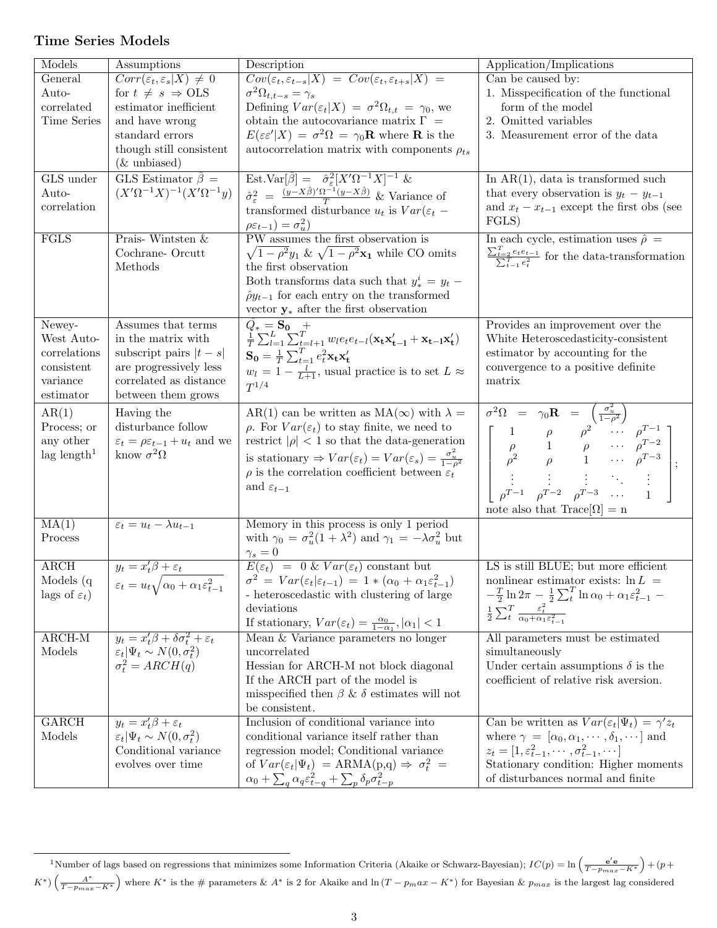### Time Series Models

| Models                    | Assumptions                                                          | Description                                                                                                                                                                                                              | Application/Implications                                                                                                                                                                                                                                                                                                                                                                                       |
|---------------------------|----------------------------------------------------------------------|--------------------------------------------------------------------------------------------------------------------------------------------------------------------------------------------------------------------------|----------------------------------------------------------------------------------------------------------------------------------------------------------------------------------------------------------------------------------------------------------------------------------------------------------------------------------------------------------------------------------------------------------------|
| General                   | $Corr(\varepsilon_t, \varepsilon_s   X) \neq 0$                      | $Cov(\varepsilon_t, \varepsilon_{t-s} X) = Cov(\varepsilon_t, \varepsilon_{t+s} X) =$                                                                                                                                    | Can be caused by:                                                                                                                                                                                                                                                                                                                                                                                              |
| Auto-                     | for $t \neq s \Rightarrow OLS$                                       | $\sigma^2 \Omega_{t,t-s} = \gamma_s$                                                                                                                                                                                     | 1. Misspecification of the functional                                                                                                                                                                                                                                                                                                                                                                          |
| correlated                | estimator inefficient                                                | Defining $Var(\varepsilon_t X) = \sigma^2 \Omega_{t,t} = \gamma_0$ , we                                                                                                                                                  | form of the model                                                                                                                                                                                                                                                                                                                                                                                              |
| Time Series               | and have wrong                                                       | obtain the autocovariance matrix $\Gamma =$                                                                                                                                                                              | 2. Omitted variables                                                                                                                                                                                                                                                                                                                                                                                           |
|                           | standard errors                                                      | $E(\varepsilon \varepsilon^{\prime} X) = \sigma^2 \Omega = \gamma_0 \mathbf{R}$ where <b>R</b> is the                                                                                                                    | 3. Measurement error of the data                                                                                                                                                                                                                                                                                                                                                                               |
|                           | though still consistent                                              | autocorrelation matrix with components $\rho_{ts}$                                                                                                                                                                       |                                                                                                                                                                                                                                                                                                                                                                                                                |
|                           | $(\&$ unbiased)                                                      |                                                                                                                                                                                                                          |                                                                                                                                                                                                                                                                                                                                                                                                                |
| GLS under                 | GLS Estimator $\hat{\beta}$ =                                        | Est.Var $[\hat{\beta}] = \hat{\sigma}_{\varepsilon}^2 [X'\Omega^{-1}X]^{-1}$ &                                                                                                                                           | In $AR(1)$ , data is transformed such                                                                                                                                                                                                                                                                                                                                                                          |
|                           | $(X'\Omega^{-1}X)^{-1}(X'\Omega^{-1}y)$                              |                                                                                                                                                                                                                          |                                                                                                                                                                                                                                                                                                                                                                                                                |
| Auto-                     |                                                                      | $\hat{\sigma}_{\varepsilon}^2 = \frac{(y - X\hat{\beta})'\Omega^{-1}(y - X\hat{\beta})}{T}$ & Variance of                                                                                                                | that every observation is $y_t - y_{t-1}$                                                                                                                                                                                                                                                                                                                                                                      |
| correlation               |                                                                      | transformed disturbance $u_t$ is $Var(\varepsilon_t$ –                                                                                                                                                                   | and $x_t - x_{t-1}$ except the first obs (see                                                                                                                                                                                                                                                                                                                                                                  |
|                           |                                                                      | $\rho \varepsilon_{t-1}) = \sigma_u^2$                                                                                                                                                                                   | FGLS                                                                                                                                                                                                                                                                                                                                                                                                           |
| FGLS                      | Prais-Wintsten $\&$                                                  | PW assumes the first observation is                                                                                                                                                                                      | In each cycle, estimation uses $\hat{\rho}$ =                                                                                                                                                                                                                                                                                                                                                                  |
|                           | Cochrane-Orcutt                                                      | $\sqrt{1-\rho^2y_1} \& \sqrt{1-\rho^2x_1}$ while CO omits                                                                                                                                                                | $\frac{\sum_{t=2}^{T} e_t e_{t-1}}{\sum_{t=1}^{T} e_t^2}$ for the data-transformation                                                                                                                                                                                                                                                                                                                          |
|                           | Methods                                                              | the first observation                                                                                                                                                                                                    |                                                                                                                                                                                                                                                                                                                                                                                                                |
|                           |                                                                      | Both transforms data such that $y_*^i = y_t$ –                                                                                                                                                                           |                                                                                                                                                                                                                                                                                                                                                                                                                |
|                           |                                                                      | $\hat{\rho}y_{t-1}$ for each entry on the transformed                                                                                                                                                                    |                                                                                                                                                                                                                                                                                                                                                                                                                |
|                           |                                                                      | vector $\mathbf{y}_{*}$ after the first observation                                                                                                                                                                      |                                                                                                                                                                                                                                                                                                                                                                                                                |
| Newey-                    | Assumes that terms                                                   | $\begin{array}{l} \hat{Q_{*}}=\mathbf{S_{0}} \quad + \\ \frac{1}{T} \sum_{l=1}^{L} \sum_{t=l+1}^{T} w_{l} e_{t} e_{t-l} (\mathbf{x_{t}} \mathbf{x_{t-l}^{\prime}}+\mathbf{x_{t-l}} \mathbf{x_{t}^{\prime}}) \end{array}$ | Provides an improvement over the                                                                                                                                                                                                                                                                                                                                                                               |
| West Auto-                | in the matrix with                                                   |                                                                                                                                                                                                                          | White Heteroscedasticity-consistent                                                                                                                                                                                                                                                                                                                                                                            |
| correlations              | subscript pairs $ t-s $                                              | $\mathbf{S_0} = \frac{1}{T}\sum_{t=1}^T e_t^2 \mathbf{x_t} \mathbf{x_t'}$                                                                                                                                                | estimator by accounting for the                                                                                                                                                                                                                                                                                                                                                                                |
| consistent                | are progressively less                                               | $w_l = 1 - \frac{l}{L+1}$ , usual practice is to set $L \approx$                                                                                                                                                         | convergence to a positive definite                                                                                                                                                                                                                                                                                                                                                                             |
| variance                  | correlated as distance                                               | $T^{1/4}$                                                                                                                                                                                                                | matrix                                                                                                                                                                                                                                                                                                                                                                                                         |
| estimator                 | between them grows                                                   |                                                                                                                                                                                                                          |                                                                                                                                                                                                                                                                                                                                                                                                                |
| AR(1)                     | Having the                                                           | AR(1) can be written as MA( $\infty$ ) with $\lambda =$                                                                                                                                                                  | $\label{eq:20} \begin{array}{ccl} \sigma^2\Omega &=& \gamma_0\mathbf{R} &= \left(\frac{\sigma_u^2}{1-\rho^2}\right)\\ & & \left[\begin{array}{cccc} 1 & \rho & \rho^2 & \cdots & \rho^{T-1}\\ \rho & 1 & \rho & \cdots & \rho^{T-2}\\ \rho^2 & \rho & 1 & \cdots & \rho^{T-3}\\ \vdots & \vdots & \vdots & \ddots & \vdots\\ \rho^{T-1} & \rho^{T-2} & \rho^{T-3} & \cdots & 1 \end{array}\right] \end{array}$ |
| Process; or               | disturbance follow                                                   | $\rho$ . For $Var(\varepsilon_t)$ to stay finite, we need to                                                                                                                                                             |                                                                                                                                                                                                                                                                                                                                                                                                                |
| any other                 | $\varepsilon_t = \rho \varepsilon_{t-1} + u_t$ and we                | restrict $ \rho $ < 1 so that the data-generation                                                                                                                                                                        |                                                                                                                                                                                                                                                                                                                                                                                                                |
| $lag$ length <sup>1</sup> | know $\sigma^2\Omega$                                                |                                                                                                                                                                                                                          |                                                                                                                                                                                                                                                                                                                                                                                                                |
|                           |                                                                      | is stationary $\Rightarrow Var(\varepsilon_t) = Var(\varepsilon_s) = \frac{\sigma_u^2}{1 - \rho^2}$                                                                                                                      |                                                                                                                                                                                                                                                                                                                                                                                                                |
|                           |                                                                      | $\rho$ is the correlation coefficient between $\varepsilon_t$                                                                                                                                                            |                                                                                                                                                                                                                                                                                                                                                                                                                |
|                           |                                                                      | and $\varepsilon_{t-1}$                                                                                                                                                                                                  |                                                                                                                                                                                                                                                                                                                                                                                                                |
|                           |                                                                      |                                                                                                                                                                                                                          | note also that $Trace[\Omega] = n$                                                                                                                                                                                                                                                                                                                                                                             |
| MA(1)                     | $\varepsilon_t = u_t - \lambda u_{t-1}$                              | Memory in this process is only 1 period                                                                                                                                                                                  |                                                                                                                                                                                                                                                                                                                                                                                                                |
| Process                   |                                                                      | with $\gamma_0 = \sigma_u^2(1 + \lambda^2)$ and $\gamma_1 = -\lambda \sigma_u^2$ but                                                                                                                                     |                                                                                                                                                                                                                                                                                                                                                                                                                |
|                           |                                                                      |                                                                                                                                                                                                                          |                                                                                                                                                                                                                                                                                                                                                                                                                |
| $\overline{\text{ARCH}}$  | $y_t = x_t^{\prime} \beta + \varepsilon_t$                           | $\begin{array}{lcl} \gamma_s = 0 \\ \hline E(\varepsilon_t) \ = \ 0 \ \& \ Var(\varepsilon_t) \ \text{constant} \ \text{but} \end{array}$                                                                                | LS is still BLUE; but more efficient                                                                                                                                                                                                                                                                                                                                                                           |
| Models (q                 | $\varepsilon_t = u_t \sqrt{\alpha_0 + \alpha_1 \varepsilon_{t-1}^2}$ | $\sigma^2 = Var(\varepsilon_t \varepsilon_{t-1}) = 1 * (\alpha_0 + \alpha_1 \varepsilon_{t-1}^2)$                                                                                                                        | nonlinear estimator exists: $\ln L =$                                                                                                                                                                                                                                                                                                                                                                          |
| lags of $\varepsilon_t$ ) |                                                                      | - heteroscedastic with clustering of large                                                                                                                                                                               | $-\frac{T}{2}\ln 2\pi - \frac{1}{2}\sum_{t}^{T}\ln \alpha_{0} + \alpha_{1}\varepsilon_{t-1}^{2} - \frac{1}{2}\sum_{t}^{T}\frac{\varepsilon_{t}^{2}}{\alpha_{0}+\alpha_{1}\varepsilon_{t-1}^{2}}$                                                                                                                                                                                                               |
|                           |                                                                      | deviations                                                                                                                                                                                                               |                                                                                                                                                                                                                                                                                                                                                                                                                |
|                           |                                                                      | If stationary, $Var(\varepsilon_t) = \frac{\alpha_0}{1 - \alpha_1},  \alpha_1  < 1$                                                                                                                                      |                                                                                                                                                                                                                                                                                                                                                                                                                |
| $ARCH-M$                  | $y_t = x_t'\beta + \delta\sigma_t^2 + \varepsilon_t$                 | Mean & Variance parameters no longer                                                                                                                                                                                     | All parameters must be estimated                                                                                                                                                                                                                                                                                                                                                                               |
| Models                    | $\varepsilon_t  \Psi_t \sim N(0, \sigma_t^2)$                        | uncorrelated                                                                                                                                                                                                             | simultaneously                                                                                                                                                                                                                                                                                                                                                                                                 |
|                           | $\sigma_t^2 = ARCH(q)$                                               | Hessian for ARCH-M not block diagonal                                                                                                                                                                                    | Under certain assumptions $\delta$ is the                                                                                                                                                                                                                                                                                                                                                                      |
|                           |                                                                      | If the ARCH part of the model is                                                                                                                                                                                         | coefficient of relative risk aversion.                                                                                                                                                                                                                                                                                                                                                                         |
|                           |                                                                      | misspecified then $\beta$ & $\delta$ estimates will not                                                                                                                                                                  |                                                                                                                                                                                                                                                                                                                                                                                                                |
|                           |                                                                      | be consistent.                                                                                                                                                                                                           |                                                                                                                                                                                                                                                                                                                                                                                                                |
| <b>GARCH</b>              | $y_t = x_t'\beta + \varepsilon_t$                                    | Inclusion of conditional variance into                                                                                                                                                                                   | Can be written as $Var(\varepsilon_t \Psi_t) = \gamma' z_t$                                                                                                                                                                                                                                                                                                                                                    |
| Models                    | $\varepsilon_t  \Psi_t \sim N(0, \sigma_t^2)$                        | conditional variance itself rather than                                                                                                                                                                                  | where $\gamma = [\alpha_0, \alpha_1, \cdots, \delta_1, \cdots]$ and                                                                                                                                                                                                                                                                                                                                            |
|                           | Conditional variance                                                 | regression model; Conditional variance                                                                                                                                                                                   | $z_t = [1, \varepsilon_{t-1}^2, \cdots, \sigma_{t-1}^2, \cdots]$                                                                                                                                                                                                                                                                                                                                               |
|                           | evolves over time                                                    | of $Var(\varepsilon_t \Psi_t) = ARMA(p,q) \Rightarrow \sigma_t^2 =$                                                                                                                                                      | Stationary condition: Higher moments                                                                                                                                                                                                                                                                                                                                                                           |
|                           |                                                                      | $\alpha_0 + \sum_q \alpha_q \varepsilon_{t-q}^2 + \sum_p \delta_p \sigma_{t-p}^2$                                                                                                                                        | of disturbances normal and finite                                                                                                                                                                                                                                                                                                                                                                              |

<sup>&</sup>lt;sup>1</sup>Number of lags based on regressions that minimizes some Information Criteria (Akaike or Schwarz-Bayesian);  $IC(p) = \ln\left(\frac{e'e}{T - p_{max} - K^*}\right) + (p + p_{max} - K^*)$  $K^*$ )  $\left(\frac{A^*}{T-p_{max}-K^*}\right)$  where  $K^*$  is the # parameters &  $A^*$  is 2 for Akaike and  $\ln(T-p_max-K^*)$  for Bayesian &  $p_{max}$  is the largest lag considered